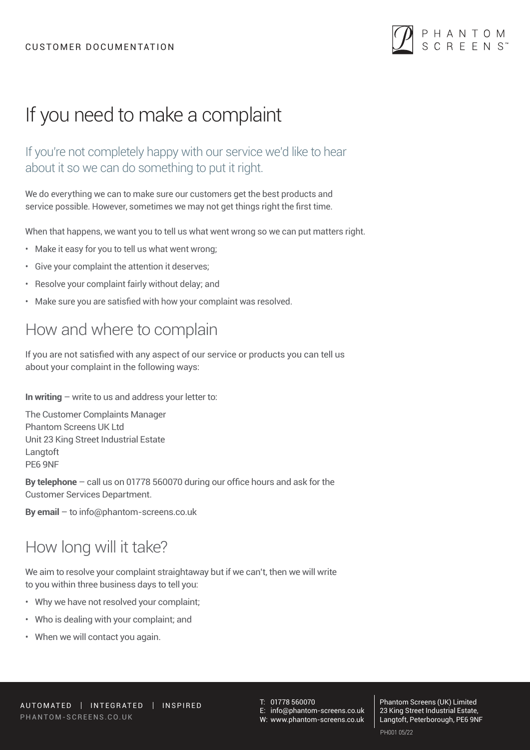#### CUSTOMER DOCUMENTATION



# If you need to make a complaint

If you're not completely happy with our service we'd like to hear about it so we can do something to put it right.

We do everything we can to make sure our customers get the best products and service possible. However, sometimes we may not get things right the first time.

When that happens, we want you to tell us what went wrong so we can put matters right.

- Make it easy for you to tell us what went wrong;
- Give your complaint the attention it deserves;
- Resolve your complaint fairly without delay; and
- Make sure you are satisfied with how your complaint was resolved.

## How and where to complain

If you are not satisfied with any aspect of our service or products you can tell us about your complaint in the following ways:

**In writing** – write to us and address your letter to:

The Customer Complaints Manager Phantom Screens UK Ltd Unit 23 King Street Industrial Estate Langtoft PE6 9NF

**By telephone** – call us on 01778 560070 during our office hours and ask for the Customer Services Department.

**By email** – to info@phantom-screens.co.uk

# How long will it take?

We aim to resolve your complaint straightaway but if we can't, then we will write to you within three business days to tell you:

- Why we have not resolved your complaint;
- Who is dealing with your complaint; and
- When we will contact you again.

T: 01778 560070

E: info@phantom-screens.co.uk

W: www.phantom-screens.co.uk

Phantom Screens (UK) Limited 23 King Street Industrial Estate, Langtoft, Peterborough, PE6 9NF PH001 05/22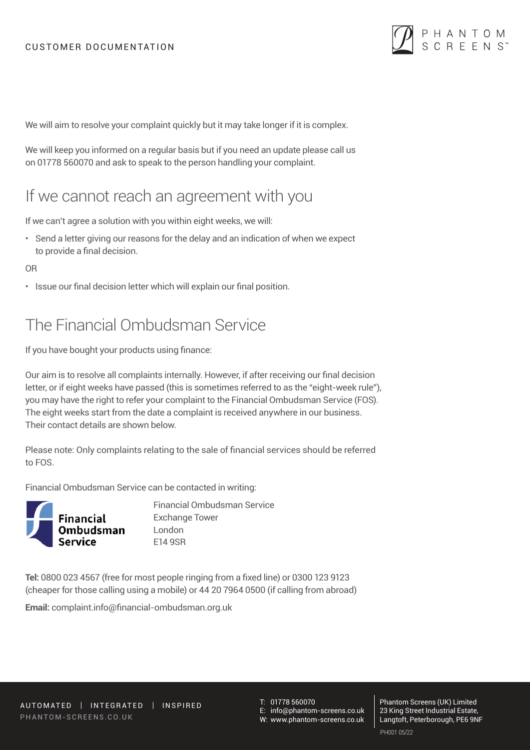

We will aim to resolve your complaint quickly but it may take longer if it is complex.

We will keep you informed on a regular basis but if you need an update please call us on 01778 560070 and ask to speak to the person handling your complaint.

#### If we cannot reach an agreement with you

If we can't agree a solution with you within eight weeks, we will:

• Send a letter giving our reasons for the delay and an indication of when we expect to provide a final decision.

#### OR

• Issue our final decision letter which will explain our final position.

## The Financial Ombudsman Service

If you have bought your products using finance:

Our aim is to resolve all complaints internally. However, if after receiving our final decision letter, or if eight weeks have passed (this is sometimes referred to as the "eight-week rule"), you may have the right to refer your complaint to the Financial Ombudsman Service (FOS). The eight weeks start from the date a complaint is received anywhere in our business. Their contact details are shown below.

Please note: Only complaints relating to the sale of financial services should be referred to FOS.

Financial Ombudsman Service can be contacted in writing:



Financial Ombudsman Service Exchange Tower E14 9SR

**Tel:** 0800 023 4567 (free for most people ringing from a fixed line) or 0300 123 9123 (cheaper for those calling using a mobile) or 44 20 7964 0500 (if calling from abroad)

**Email:** complaint.info@financial-ombudsman.org.uk

T: 01778 560070 E: info@phantom-screens.co.uk

W: www.phantom-screens.co.uk

Phantom Screens (UK) Limited 23 King Street Industrial Estate, Langtoft, Peterborough, PE6 9NF PH001 05/22